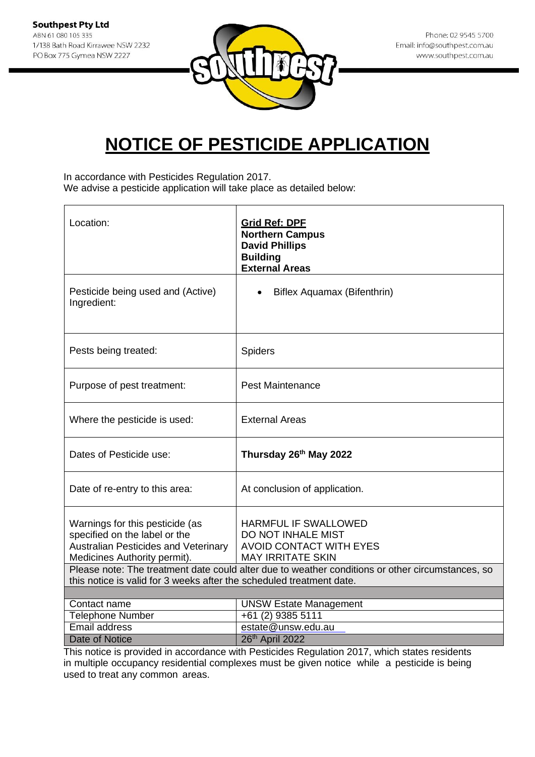**Southpest Pty Ltd** ABN 61 080 105 335 1/138 Bath Road Kirrawee NSW 2232 PO Box 775 Gymea NSW 2227



## **NOTICE OF PESTICIDE APPLICATION**

In accordance with Pesticides Regulation 2017.

We advise a pesticide application will take place as detailed below:

| Location:                                                                                                                                       | <b>Grid Ref: DPF</b><br><b>Northern Campus</b><br><b>David Phillips</b><br><b>Building</b><br><b>External Areas</b>                                                                                          |
|-------------------------------------------------------------------------------------------------------------------------------------------------|--------------------------------------------------------------------------------------------------------------------------------------------------------------------------------------------------------------|
| Pesticide being used and (Active)<br>Ingredient:                                                                                                | Biflex Aquamax (Bifenthrin)                                                                                                                                                                                  |
| Pests being treated:                                                                                                                            | Spiders                                                                                                                                                                                                      |
| Purpose of pest treatment:                                                                                                                      | <b>Pest Maintenance</b>                                                                                                                                                                                      |
| Where the pesticide is used:                                                                                                                    | <b>External Areas</b>                                                                                                                                                                                        |
| Dates of Pesticide use:                                                                                                                         | Thursday 26th May 2022                                                                                                                                                                                       |
| Date of re-entry to this area:                                                                                                                  | At conclusion of application.                                                                                                                                                                                |
| Warnings for this pesticide (as<br>specified on the label or the<br><b>Australian Pesticides and Veterinary</b><br>Medicines Authority permit). | HARMFUL IF SWALLOWED<br>DO NOT INHALE MIST<br><b>AVOID CONTACT WITH EYES</b><br><b>MAY IRRITATE SKIN</b><br>Please note: The treatment date could alter due to weather conditions or other circumstances, so |
| this notice is valid for 3 weeks after the scheduled treatment date.                                                                            |                                                                                                                                                                                                              |
| Contact name                                                                                                                                    | <b>UNSW Estate Management</b>                                                                                                                                                                                |
| Telephone Number                                                                                                                                | +61 (2) 9385 5111                                                                                                                                                                                            |
| <b>Email address</b>                                                                                                                            | estate@unsw.edu.au                                                                                                                                                                                           |
| <b>Date of Notice</b>                                                                                                                           | 26th April 2022                                                                                                                                                                                              |

This notice is provided in accordance with Pesticides Regulation 2017, which states residents in multiple occupancy residential complexes must be given notice while a pesticide is being used to treat any common areas.